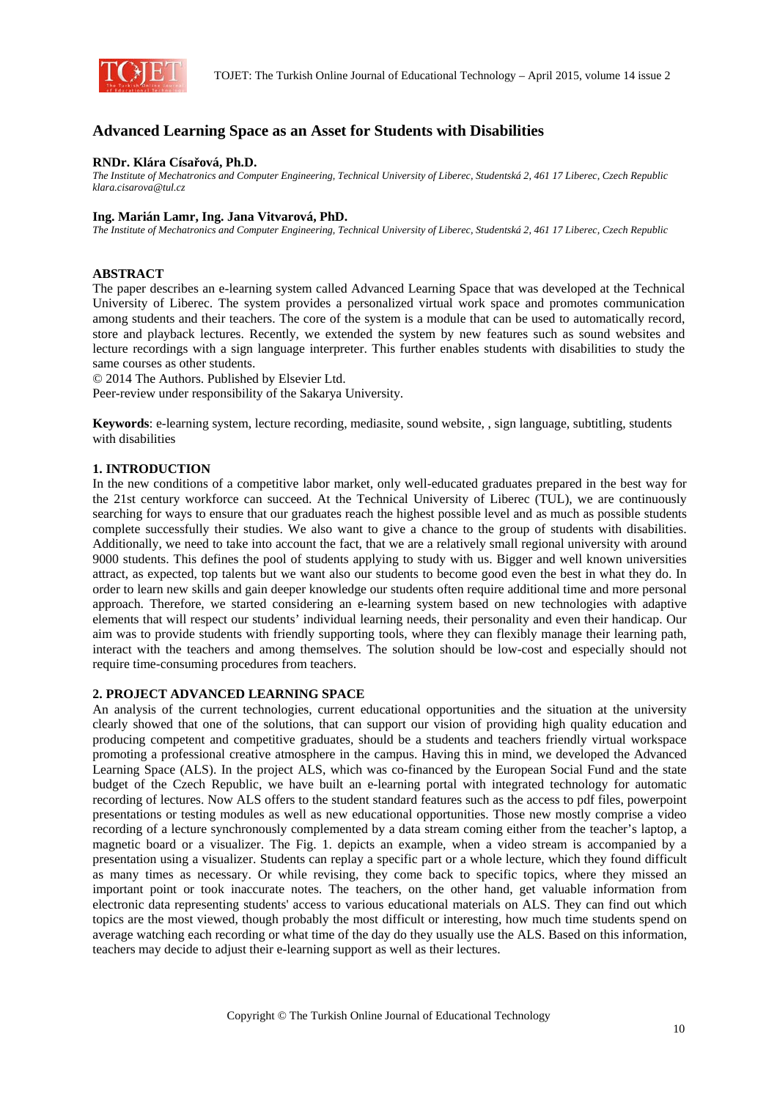

# **Advanced Learning Space as an Asset for Students with Disabilities**

### **RNDr. Klára Císařová, Ph.D.**

*The Institute of Mechatronics and Computer Engineering, Technical University of Liberec, Studentská 2, 461 17 Liberec, Czech Republic klara.cisarova@tul.cz* 

### **Ing. Marián Lamr, Ing. Jana Vitvarová, PhD.**

*The Institute of Mechatronics and Computer Engineering, Technical University of Liberec, Studentská 2, 461 17 Liberec, Czech Republic* 

### **ABSTRACT**

The paper describes an e-learning system called Advanced Learning Space that was developed at the Technical University of Liberec. The system provides a personalized virtual work space and promotes communication among students and their teachers. The core of the system is a module that can be used to automatically record, store and playback lectures. Recently, we extended the system by new features such as sound websites and lecture recordings with a sign language interpreter. This further enables students with disabilities to study the same courses as other students.

© 2014 The Authors. Published by Elsevier Ltd.

Peer-review under responsibility of the Sakarya University.

**Keywords**: e-learning system, lecture recording, mediasite, sound website, , sign language, subtitling, students with disabilities

### **1. INTRODUCTION**

In the new conditions of a competitive labor market, only well-educated graduates prepared in the best way for the 21st century workforce can succeed. At the Technical University of Liberec (TUL), we are continuously searching for ways to ensure that our graduates reach the highest possible level and as much as possible students complete successfully their studies. We also want to give a chance to the group of students with disabilities. Additionally, we need to take into account the fact, that we are a relatively small regional university with around 9000 students. This defines the pool of students applying to study with us. Bigger and well known universities attract, as expected, top talents but we want also our students to become good even the best in what they do. In order to learn new skills and gain deeper knowledge our students often require additional time and more personal approach. Therefore, we started considering an e-learning system based on new technologies with adaptive elements that will respect our students' individual learning needs, their personality and even their handicap. Our aim was to provide students with friendly supporting tools, where they can flexibly manage their learning path, interact with the teachers and among themselves. The solution should be low-cost and especially should not require time-consuming procedures from teachers.

### **2. PROJECT ADVANCED LEARNING SPACE**

An analysis of the current technologies, current educational opportunities and the situation at the university clearly showed that one of the solutions, that can support our vision of providing high quality education and producing competent and competitive graduates, should be a students and teachers friendly virtual workspace promoting a professional creative atmosphere in the campus. Having this in mind, we developed the Advanced Learning Space (ALS). In the project ALS, which was co-financed by the European Social Fund and the state budget of the Czech Republic, we have built an e-learning portal with integrated technology for automatic recording of lectures. Now ALS offers to the student standard features such as the access to pdf files, powerpoint presentations or testing modules as well as new educational opportunities. Those new mostly comprise a video recording of a lecture synchronously complemented by a data stream coming either from the teacher's laptop, a magnetic board or a visualizer. The Fig. 1. depicts an example, when a video stream is accompanied by a presentation using a visualizer. Students can replay a specific part or a whole lecture, which they found difficult as many times as necessary. Or while revising, they come back to specific topics, where they missed an important point or took inaccurate notes. The teachers, on the other hand, get valuable information from electronic data representing students' access to various educational materials on ALS. They can find out which topics are the most viewed, though probably the most difficult or interesting, how much time students spend on average watching each recording or what time of the day do they usually use the ALS. Based on this information, teachers may decide to adjust their e-learning support as well as their lectures.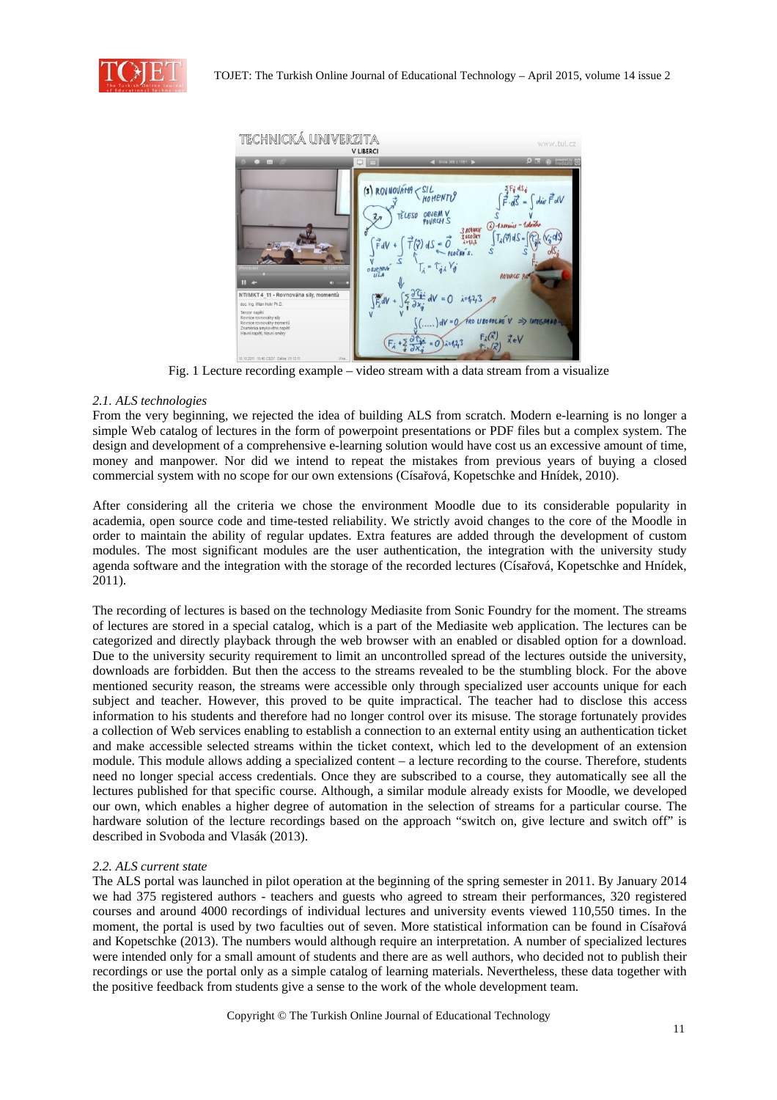



Fig. 1 Lecture recording example – video stream with a data stream from a visualize

# *2.1. ALS technologies*

From the very beginning, we rejected the idea of building ALS from scratch. Modern e-learning is no longer a simple Web catalog of lectures in the form of powerpoint presentations or PDF files but a complex system. The design and development of a comprehensive e-learning solution would have cost us an excessive amount of time, money and manpower. Nor did we intend to repeat the mistakes from previous years of buying a closed commercial system with no scope for our own extensions (Císařová, Kopetschke and Hnídek, 2010).

After considering all the criteria we chose the environment Moodle due to its considerable popularity in academia, open source code and time-tested reliability. We strictly avoid changes to the core of the Moodle in order to maintain the ability of regular updates. Extra features are added through the development of custom modules. The most significant modules are the user authentication, the integration with the university study agenda software and the integration with the storage of the recorded lectures (Císařová, Kopetschke and Hnídek, 2011).

The recording of lectures is based on the technology Mediasite from Sonic Foundry for the moment. The streams of lectures are stored in a special catalog, which is a part of the Mediasite web application. The lectures can be categorized and directly playback through the web browser with an enabled or disabled option for a download. Due to the university security requirement to limit an uncontrolled spread of the lectures outside the university, downloads are forbidden. But then the access to the streams revealed to be the stumbling block. For the above mentioned security reason, the streams were accessible only through specialized user accounts unique for each subject and teacher. However, this proved to be quite impractical. The teacher had to disclose this access information to his students and therefore had no longer control over its misuse. The storage fortunately provides a collection of Web services enabling to establish a connection to an external entity using an authentication ticket and make accessible selected streams within the ticket context, which led to the development of an extension module. This module allows adding a specialized content – a lecture recording to the course. Therefore, students need no longer special access credentials. Once they are subscribed to a course, they automatically see all the lectures published for that specific course. Although, a similar module already exists for Moodle, we developed our own, which enables a higher degree of automation in the selection of streams for a particular course. The hardware solution of the lecture recordings based on the approach "switch on, give lecture and switch off" is described in Svoboda and Vlasák (2013).

### *2.2. ALS current state*

The ALS portal was launched in pilot operation at the beginning of the spring semester in 2011. By January 2014 we had 375 registered authors - teachers and guests who agreed to stream their performances, 320 registered courses and around 4000 recordings of individual lectures and university events viewed 110,550 times. In the moment, the portal is used by two faculties out of seven. More statistical information can be found in Císařová and Kopetschke (2013). The numbers would although require an interpretation. A number of specialized lectures were intended only for a small amount of students and there are as well authors, who decided not to publish their recordings or use the portal only as a simple catalog of learning materials. Nevertheless, these data together with the positive feedback from students give a sense to the work of the whole development team.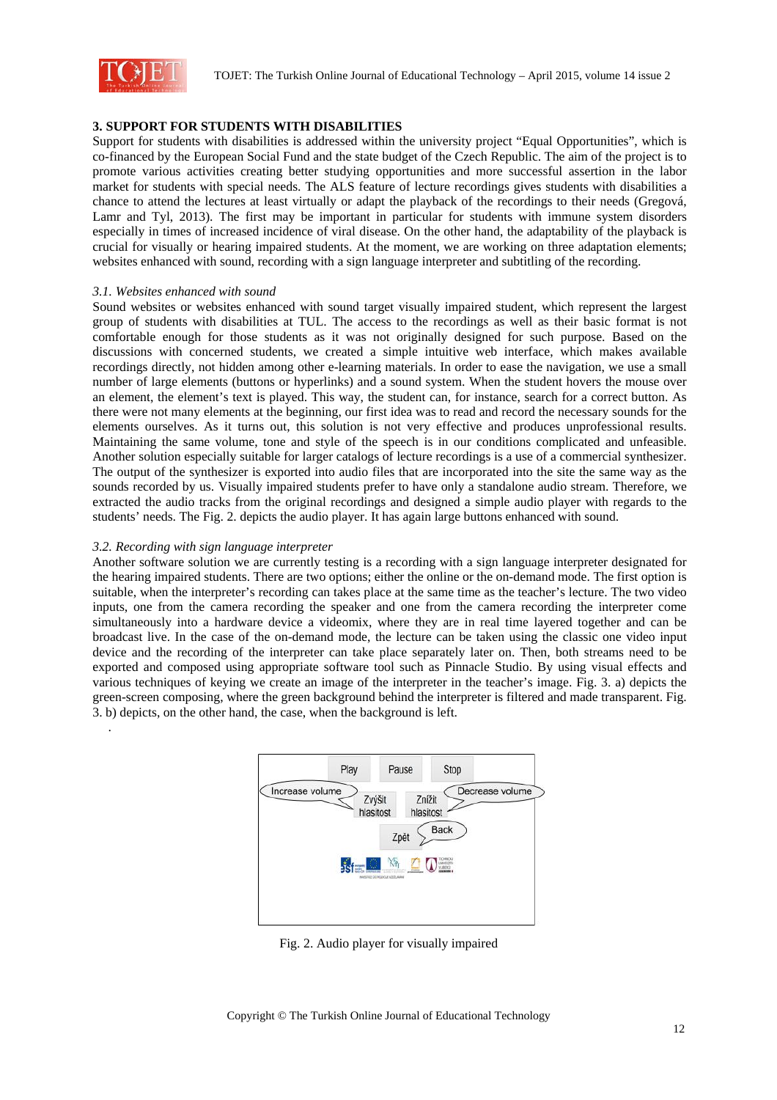

# **3. SUPPORT FOR STUDENTS WITH DISABILITIES**

Support for students with disabilities is addressed within the university project "Equal Opportunities", which is co-financed by the European Social Fund and the state budget of the Czech Republic. The aim of the project is to promote various activities creating better studying opportunities and more successful assertion in the labor market for students with special needs. The ALS feature of lecture recordings gives students with disabilities a chance to attend the lectures at least virtually or adapt the playback of the recordings to their needs (Gregová, Lamr and Tyl, 2013). The first may be important in particular for students with immune system disorders especially in times of increased incidence of viral disease. On the other hand, the adaptability of the playback is crucial for visually or hearing impaired students. At the moment, we are working on three adaptation elements; websites enhanced with sound, recording with a sign language interpreter and subtitling of the recording.

### *3.1. Websites enhanced with sound*

Sound websites or websites enhanced with sound target visually impaired student, which represent the largest group of students with disabilities at TUL. The access to the recordings as well as their basic format is not comfortable enough for those students as it was not originally designed for such purpose. Based on the discussions with concerned students, we created a simple intuitive web interface, which makes available recordings directly, not hidden among other e-learning materials. In order to ease the navigation, we use a small number of large elements (buttons or hyperlinks) and a sound system. When the student hovers the mouse over an element, the element's text is played. This way, the student can, for instance, search for a correct button. As there were not many elements at the beginning, our first idea was to read and record the necessary sounds for the elements ourselves. As it turns out, this solution is not very effective and produces unprofessional results. Maintaining the same volume, tone and style of the speech is in our conditions complicated and unfeasible. Another solution especially suitable for larger catalogs of lecture recordings is a use of a commercial synthesizer. The output of the synthesizer is exported into audio files that are incorporated into the site the same way as the sounds recorded by us. Visually impaired students prefer to have only a standalone audio stream. Therefore, we extracted the audio tracks from the original recordings and designed a simple audio player with regards to the students' needs. The Fig. 2. depicts the audio player. It has again large buttons enhanced with sound.

### *3.2. Recording with sign language interpreter*

.

Another software solution we are currently testing is a recording with a sign language interpreter designated for the hearing impaired students. There are two options; either the online or the on-demand mode. The first option is suitable, when the interpreter's recording can takes place at the same time as the teacher's lecture. The two video inputs, one from the camera recording the speaker and one from the camera recording the interpreter come simultaneously into a hardware device a videomix, where they are in real time layered together and can be broadcast live. In the case of the on-demand mode, the lecture can be taken using the classic one video input device and the recording of the interpreter can take place separately later on. Then, both streams need to be exported and composed using appropriate software tool such as Pinnacle Studio. By using visual effects and various techniques of keying we create an image of the interpreter in the teacher's image. Fig. 3. a) depicts the green-screen composing, where the green background behind the interpreter is filtered and made transparent. Fig. 3. b) depicts, on the other hand, the case, when the background is left.



Fig. 2. Audio player for visually impaired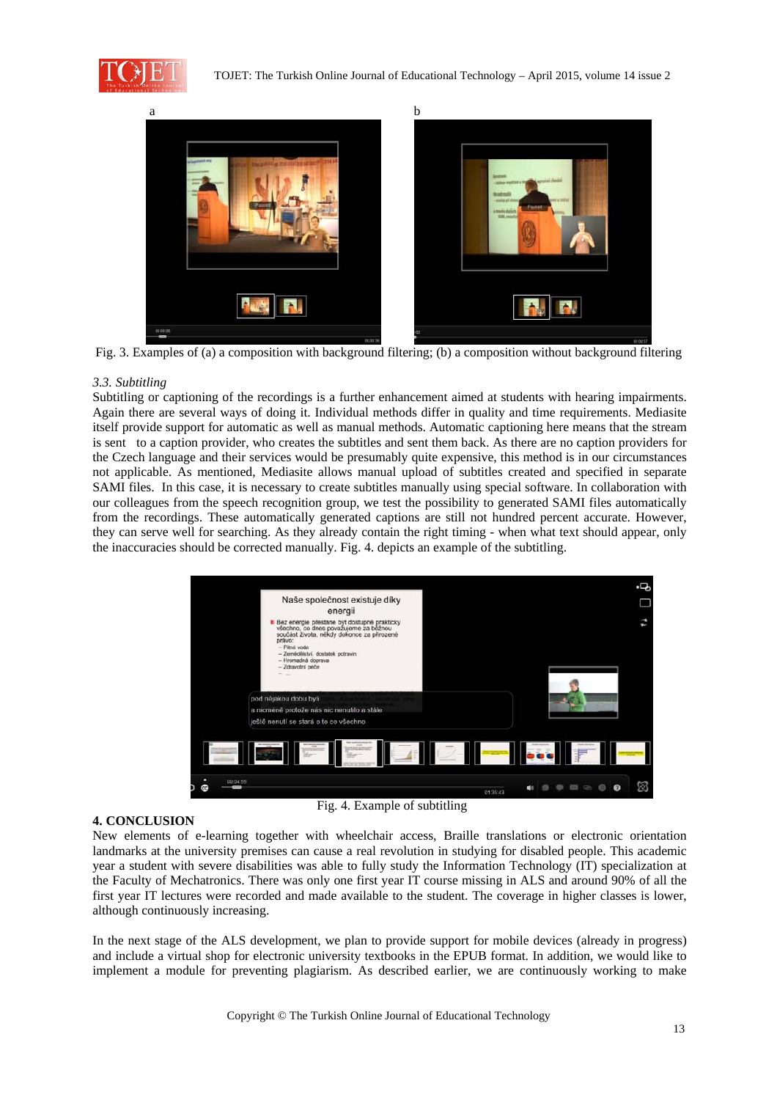



Fig. 3. Examples of (a) a composition with background filtering; (b) a composition without background filtering

### *3.3. Subtitling*

Subtitling or captioning of the recordings is a further enhancement aimed at students with hearing impairments. Again there are several ways of doing it. Individual methods differ in quality and time requirements. Mediasite itself provide support for automatic as well as manual methods. Automatic captioning here means that the stream is sent to a caption provider, who creates the subtitles and sent them back. As there are no caption providers for the Czech language and their services would be presumably quite expensive, this method is in our circumstances not applicable. As mentioned, Mediasite allows manual upload of subtitles created and specified in separate SAMI files. In this case, it is necessary to create subtitles manually using special software. In collaboration with our colleagues from the speech recognition group, we test the possibility to generated SAMI files automatically from the recordings. These automatically generated captions are still not hundred percent accurate. However, they can serve well for searching. As they already contain the right timing - when what text should appear, only the inaccuracies should be corrected manually. Fig. 4. depicts an example of the subtitling.



#### **4. CONCLUSION**

Fig. 4. Example of subtitling

New elements of e-learning together with wheelchair access, Braille translations or electronic orientation landmarks at the university premises can cause a real revolution in studying for disabled people. This academic year a student with severe disabilities was able to fully study the Information Technology (IT) specialization at the Faculty of Mechatronics. There was only one first year IT course missing in ALS and around 90% of all the first year IT lectures were recorded and made available to the student. The coverage in higher classes is lower, although continuously increasing.

In the next stage of the ALS development, we plan to provide support for mobile devices (already in progress) and include a virtual shop for electronic university textbooks in the EPUB format. In addition, we would like to implement a module for preventing plagiarism. As described earlier, we are continuously working to make